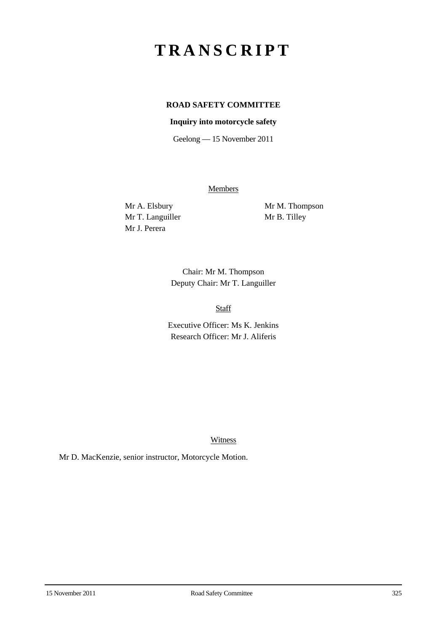# **TRANSCRIPT**

## **ROAD SAFETY COMMITTEE**

#### **Inquiry into motorcycle safety**

Geelong — 15 November 2011

**Members** 

Mr T. Languiller Mr B. Tilley Mr J. Perera

Mr A. Elsbury Mr M. Thompson

Chair: Mr M. Thompson Deputy Chair: Mr T. Languiller

Staff

Executive Officer: Ms K. Jenkins Research Officer: Mr J. Aliferis

Witness

Mr D. MacKenzie, senior instructor, Motorcycle Motion.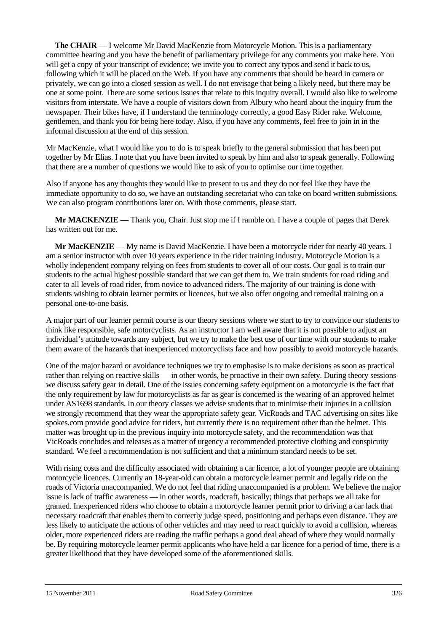**The CHAIR** — I welcome Mr David MacKenzie from Motorcycle Motion. This is a parliamentary committee hearing and you have the benefit of parliamentary privilege for any comments you make here. You will get a copy of your transcript of evidence; we invite you to correct any typos and send it back to us, following which it will be placed on the Web. If you have any comments that should be heard in camera or privately, we can go into a closed session as well. I do not envisage that being a likely need, but there may be one at some point. There are some serious issues that relate to this inquiry overall. I would also like to welcome visitors from interstate. We have a couple of visitors down from Albury who heard about the inquiry from the newspaper. Their bikes have, if I understand the terminology correctly, a good Easy Rider rake. Welcome, gentlemen, and thank you for being here today. Also, if you have any comments, feel free to join in in the informal discussion at the end of this session.

Mr MacKenzie, what I would like you to do is to speak briefly to the general submission that has been put together by Mr Elias. I note that you have been invited to speak by him and also to speak generally. Following that there are a number of questions we would like to ask of you to optimise our time together.

Also if anyone has any thoughts they would like to present to us and they do not feel like they have the immediate opportunity to do so, we have an outstanding secretariat who can take on board written submissions. We can also program contributions later on. With those comments, please start.

**Mr MACKENZIE** — Thank you, Chair. Just stop me if I ramble on. I have a couple of pages that Derek has written out for me.

**Mr MacKENZIE** — My name is David MacKenzie. I have been a motorcycle rider for nearly 40 years. I am a senior instructor with over 10 years experience in the rider training industry. Motorcycle Motion is a wholly independent company relying on fees from students to cover all of our costs. Our goal is to train our students to the actual highest possible standard that we can get them to. We train students for road riding and cater to all levels of road rider, from novice to advanced riders. The majority of our training is done with students wishing to obtain learner permits or licences, but we also offer ongoing and remedial training on a personal one-to-one basis.

A major part of our learner permit course is our theory sessions where we start to try to convince our students to think like responsible, safe motorcyclists. As an instructor I am well aware that it is not possible to adjust an individual's attitude towards any subject, but we try to make the best use of our time with our students to make them aware of the hazards that inexperienced motorcyclists face and how possibly to avoid motorcycle hazards.

One of the major hazard or avoidance techniques we try to emphasise is to make decisions as soon as practical rather than relying on reactive skills — in other words, be proactive in their own safety. During theory sessions we discuss safety gear in detail. One of the issues concerning safety equipment on a motorcycle is the fact that the only requirement by law for motorcyclists as far as gear is concerned is the wearing of an approved helmet under AS1698 standards. In our theory classes we advise students that to minimise their injuries in a collision we strongly recommend that they wear the appropriate safety gear. VicRoads and TAC advertising on sites like spokes.com provide good advice for riders, but currently there is no requirement other than the helmet. This matter was brought up in the previous inquiry into motorcycle safety, and the recommendation was that VicRoads concludes and releases as a matter of urgency a recommended protective clothing and conspicuity standard. We feel a recommendation is not sufficient and that a minimum standard needs to be set.

With rising costs and the difficulty associated with obtaining a car licence, a lot of younger people are obtaining motorcycle licences. Currently an 18-year-old can obtain a motorcycle learner permit and legally ride on the roads of Victoria unaccompanied. We do not feel that riding unaccompanied is a problem. We believe the major issue is lack of traffic awareness — in other words, roadcraft, basically; things that perhaps we all take for granted. Inexperienced riders who choose to obtain a motorcycle learner permit prior to driving a car lack that necessary roadcraft that enables them to correctly judge speed, positioning and perhaps even distance. They are less likely to anticipate the actions of other vehicles and may need to react quickly to avoid a collision, whereas older, more experienced riders are reading the traffic perhaps a good deal ahead of where they would normally be. By requiring motorcycle learner permit applicants who have held a car licence for a period of time, there is a greater likelihood that they have developed some of the aforementioned skills.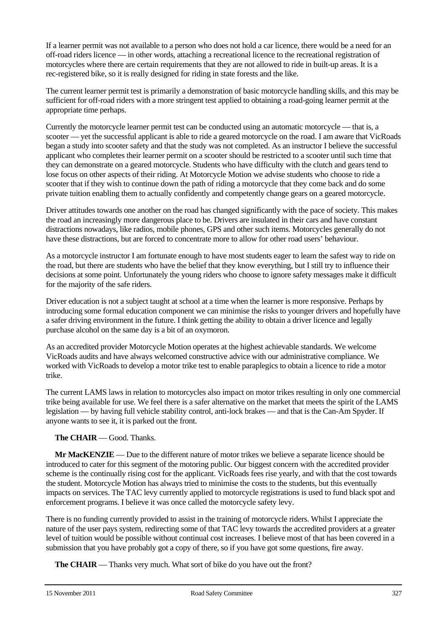If a learner permit was not available to a person who does not hold a car licence, there would be a need for an off-road riders licence — in other words, attaching a recreational licence to the recreational registration of motorcycles where there are certain requirements that they are not allowed to ride in built-up areas. It is a rec-registered bike, so it is really designed for riding in state forests and the like.

The current learner permit test is primarily a demonstration of basic motorcycle handling skills, and this may be sufficient for off-road riders with a more stringent test applied to obtaining a road-going learner permit at the appropriate time perhaps.

Currently the motorcycle learner permit test can be conducted using an automatic motorcycle — that is, a scooter — yet the successful applicant is able to ride a geared motorcycle on the road. I am aware that VicRoads began a study into scooter safety and that the study was not completed. As an instructor I believe the successful applicant who completes their learner permit on a scooter should be restricted to a scooter until such time that they can demonstrate on a geared motorcycle. Students who have difficulty with the clutch and gears tend to lose focus on other aspects of their riding. At Motorcycle Motion we advise students who choose to ride a scooter that if they wish to continue down the path of riding a motorcycle that they come back and do some private tuition enabling them to actually confidently and competently change gears on a geared motorcycle.

Driver attitudes towards one another on the road has changed significantly with the pace of society. This makes the road an increasingly more dangerous place to be. Drivers are insulated in their cars and have constant distractions nowadays, like radios, mobile phones, GPS and other such items. Motorcycles generally do not have these distractions, but are forced to concentrate more to allow for other road users' behaviour.

As a motorcycle instructor I am fortunate enough to have most students eager to learn the safest way to ride on the road, but there are students who have the belief that they know everything, but I still try to influence their decisions at some point. Unfortunately the young riders who choose to ignore safety messages make it difficult for the majority of the safe riders.

Driver education is not a subject taught at school at a time when the learner is more responsive. Perhaps by introducing some formal education component we can minimise the risks to younger drivers and hopefully have a safer driving environment in the future. I think getting the ability to obtain a driver licence and legally purchase alcohol on the same day is a bit of an oxymoron.

As an accredited provider Motorcycle Motion operates at the highest achievable standards. We welcome VicRoads audits and have always welcomed constructive advice with our administrative compliance. We worked with VicRoads to develop a motor trike test to enable paraplegics to obtain a licence to ride a motor trike.

The current LAMS laws in relation to motorcycles also impact on motor trikes resulting in only one commercial trike being available for use. We feel there is a safer alternative on the market that meets the spirit of the LAMS legislation — by having full vehicle stability control, anti-lock brakes — and that is the Can-Am Spyder. If anyone wants to see it, it is parked out the front.

### **The CHAIR** — Good. Thanks.

**Mr MacKENZIE** — Due to the different nature of motor trikes we believe a separate licence should be introduced to cater for this segment of the motoring public. Our biggest concern with the accredited provider scheme is the continually rising cost for the applicant. VicRoads fees rise yearly, and with that the cost towards the student. Motorcycle Motion has always tried to minimise the costs to the students, but this eventually impacts on services. The TAC levy currently applied to motorcycle registrations is used to fund black spot and enforcement programs. I believe it was once called the motorcycle safety levy.

There is no funding currently provided to assist in the training of motorcycle riders. Whilst I appreciate the nature of the user pays system, redirecting some of that TAC levy towards the accredited providers at a greater level of tuition would be possible without continual cost increases. I believe most of that has been covered in a submission that you have probably got a copy of there, so if you have got some questions, fire away.

**The CHAIR** — Thanks very much. What sort of bike do you have out the front?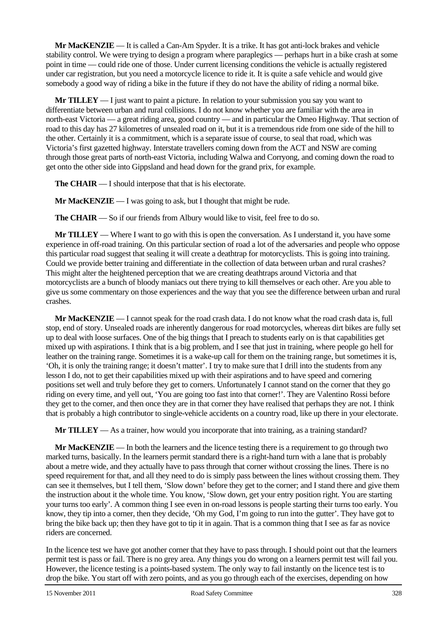**Mr MacKENZIE** — It is called a Can-Am Spyder. It is a trike. It has got anti-lock brakes and vehicle stability control. We were trying to design a program where paraplegics — perhaps hurt in a bike crash at some point in time — could ride one of those. Under current licensing conditions the vehicle is actually registered under car registration, but you need a motorcycle licence to ride it. It is quite a safe vehicle and would give somebody a good way of riding a bike in the future if they do not have the ability of riding a normal bike.

**Mr TILLEY** — I just want to paint a picture. In relation to your submission you say you want to differentiate between urban and rural collisions. I do not know whether you are familiar with the area in north-east Victoria — a great riding area, good country — and in particular the Omeo Highway. That section of road to this day has 27 kilometres of unsealed road on it, but it is a tremendous ride from one side of the hill to the other. Certainly it is a commitment, which is a separate issue of course, to seal that road, which was Victoria's first gazetted highway. Interstate travellers coming down from the ACT and NSW are coming through those great parts of north-east Victoria, including Walwa and Corryong, and coming down the road to get onto the other side into Gippsland and head down for the grand prix, for example.

**The CHAIR** — I should interpose that that is his electorate.

**Mr MacKENZIE** — I was going to ask, but I thought that might be rude.

**The CHAIR** — So if our friends from Albury would like to visit, feel free to do so.

**Mr TILLEY** — Where I want to go with this is open the conversation. As I understand it, you have some experience in off-road training. On this particular section of road a lot of the adversaries and people who oppose this particular road suggest that sealing it will create a deathtrap for motorcyclists. This is going into training. Could we provide better training and differentiate in the collection of data between urban and rural crashes? This might alter the heightened perception that we are creating deathtraps around Victoria and that motorcyclists are a bunch of bloody maniacs out there trying to kill themselves or each other. Are you able to give us some commentary on those experiences and the way that you see the difference between urban and rural crashes.

**Mr MacKENZIE** — I cannot speak for the road crash data. I do not know what the road crash data is, full stop, end of story. Unsealed roads are inherently dangerous for road motorcycles, whereas dirt bikes are fully set up to deal with loose surfaces. One of the big things that I preach to students early on is that capabilities get mixed up with aspirations. I think that is a big problem, and I see that just in training, where people go hell for leather on the training range. Sometimes it is a wake-up call for them on the training range, but sometimes it is, 'Oh, it is only the training range; it doesn't matter'. I try to make sure that I drill into the students from any lesson I do, not to get their capabilities mixed up with their aspirations and to have speed and cornering positions set well and truly before they get to corners. Unfortunately I cannot stand on the corner that they go riding on every time, and yell out, 'You are going too fast into that corner!'. They are Valentino Rossi before they get to the corner, and then once they are in that corner they have realised that perhaps they are not. I think that is probably a high contributor to single-vehicle accidents on a country road, like up there in your electorate.

**Mr TILLEY** — As a trainer, how would you incorporate that into training, as a training standard?

**Mr MacKENZIE** — In both the learners and the licence testing there is a requirement to go through two marked turns, basically. In the learners permit standard there is a right-hand turn with a lane that is probably about a metre wide, and they actually have to pass through that corner without crossing the lines. There is no speed requirement for that, and all they need to do is simply pass between the lines without crossing them. They can see it themselves, but I tell them, 'Slow down' before they get to the corner; and I stand there and give them the instruction about it the whole time. You know, 'Slow down, get your entry position right. You are starting your turns too early'. A common thing I see even in on-road lessons is people starting their turns too early. You know, they tip into a corner, then they decide, 'Oh my God, I'm going to run into the gutter'. They have got to bring the bike back up; then they have got to tip it in again. That is a common thing that I see as far as novice riders are concerned.

In the licence test we have got another corner that they have to pass through. I should point out that the learners permit test is pass or fail. There is no grey area. Any things you do wrong on a learners permit test will fail you. However, the licence testing is a points-based system. The only way to fail instantly on the licence test is to drop the bike. You start off with zero points, and as you go through each of the exercises, depending on how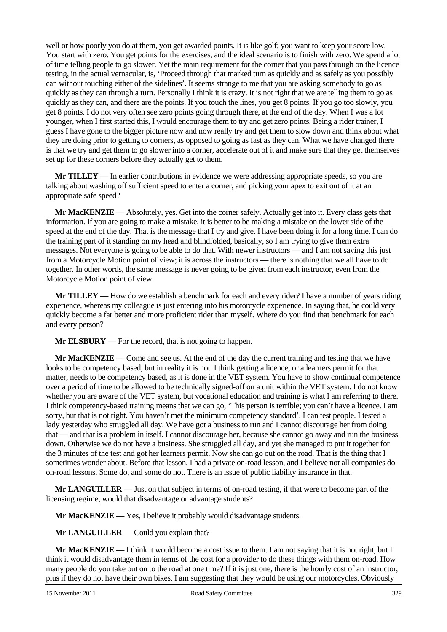well or how poorly you do at them, you get awarded points. It is like golf; you want to keep your score low. You start with zero. You get points for the exercises, and the ideal scenario is to finish with zero. We spend a lot of time telling people to go slower. Yet the main requirement for the corner that you pass through on the licence testing, in the actual vernacular, is, 'Proceed through that marked turn as quickly and as safely as you possibly can without touching either of the sidelines'. It seems strange to me that you are asking somebody to go as quickly as they can through a turn. Personally I think it is crazy. It is not right that we are telling them to go as quickly as they can, and there are the points. If you touch the lines, you get 8 points. If you go too slowly, you get 8 points. I do not very often see zero points going through there, at the end of the day. When I was a lot younger, when I first started this, I would encourage them to try and get zero points. Being a rider trainer, I guess I have gone to the bigger picture now and now really try and get them to slow down and think about what they are doing prior to getting to corners, as opposed to going as fast as they can. What we have changed there is that we try and get them to go slower into a corner, accelerate out of it and make sure that they get themselves set up for these corners before they actually get to them.

**Mr TILLEY** — In earlier contributions in evidence we were addressing appropriate speeds, so you are talking about washing off sufficient speed to enter a corner, and picking your apex to exit out of it at an appropriate safe speed?

**Mr MacKENZIE** — Absolutely, yes. Get into the corner safely. Actually get into it. Every class gets that information. If you are going to make a mistake, it is better to be making a mistake on the lower side of the speed at the end of the day. That is the message that I try and give. I have been doing it for a long time. I can do the training part of it standing on my head and blindfolded, basically, so I am trying to give them extra messages. Not everyone is going to be able to do that. With newer instructors — and I am not saying this just from a Motorcycle Motion point of view; it is across the instructors — there is nothing that we all have to do together. In other words, the same message is never going to be given from each instructor, even from the Motorcycle Motion point of view.

**Mr TILLEY** — How do we establish a benchmark for each and every rider? I have a number of years riding experience, whereas my colleague is just entering into his motorcycle experience. In saying that, he could very quickly become a far better and more proficient rider than myself. Where do you find that benchmark for each and every person?

**Mr ELSBURY** — For the record, that is not going to happen.

**Mr MacKENZIE** — Come and see us. At the end of the day the current training and testing that we have looks to be competency based, but in reality it is not. I think getting a licence, or a learners permit for that matter, needs to be competency based, as it is done in the VET system. You have to show continual competence over a period of time to be allowed to be technically signed-off on a unit within the VET system. I do not know whether you are aware of the VET system, but vocational education and training is what I am referring to there. I think competency-based training means that we can go, 'This person is terrible; you can't have a licence. I am sorry, but that is not right. You haven't met the minimum competency standard'. I can test people. I tested a lady yesterday who struggled all day. We have got a business to run and I cannot discourage her from doing that — and that is a problem in itself. I cannot discourage her, because she cannot go away and run the business down. Otherwise we do not have a business. She struggled all day, and yet she managed to put it together for the 3 minutes of the test and got her learners permit. Now she can go out on the road. That is the thing that I sometimes wonder about. Before that lesson, I had a private on-road lesson, and I believe not all companies do on-road lessons. Some do, and some do not. There is an issue of public liability insurance in that.

**Mr LANGUILLER** — Just on that subject in terms of on-road testing, if that were to become part of the licensing regime, would that disadvantage or advantage students?

**Mr MacKENZIE** — Yes, I believe it probably would disadvantage students.

**Mr LANGUILLER** — Could you explain that?

**Mr MacKENZIE** — I think it would become a cost issue to them. I am not saying that it is not right, but I think it would disadvantage them in terms of the cost for a provider to do these things with them on-road. How many people do you take out on to the road at one time? If it is just one, there is the hourly cost of an instructor, plus if they do not have their own bikes. I am suggesting that they would be using our motorcycles. Obviously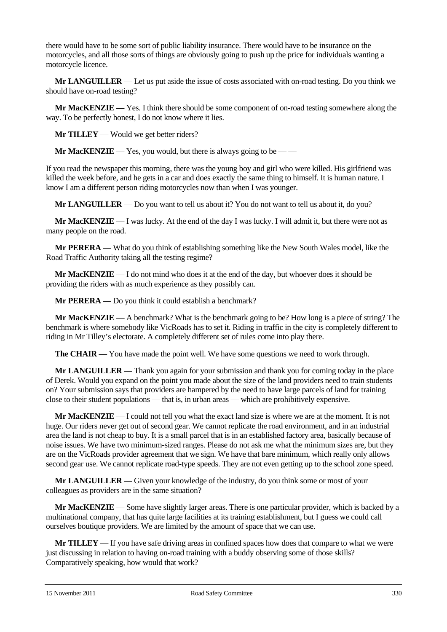there would have to be some sort of public liability insurance. There would have to be insurance on the motorcycles, and all those sorts of things are obviously going to push up the price for individuals wanting a motorcycle licence.

**Mr LANGUILLER** — Let us put aside the issue of costs associated with on-road testing. Do you think we should have on-road testing?

**Mr MacKENZIE** — Yes. I think there should be some component of on-road testing somewhere along the way. To be perfectly honest, I do not know where it lies.

**Mr TILLEY** — Would we get better riders?

**Mr MacKENZIE** — Yes, you would, but there is always going to be — —

If you read the newspaper this morning, there was the young boy and girl who were killed. His girlfriend was killed the week before, and he gets in a car and does exactly the same thing to himself. It is human nature. I know I am a different person riding motorcycles now than when I was younger.

**Mr LANGUILLER** — Do you want to tell us about it? You do not want to tell us about it, do you?

**Mr MacKENZIE** — I was lucky. At the end of the day I was lucky. I will admit it, but there were not as many people on the road.

**Mr PERERA** — What do you think of establishing something like the New South Wales model, like the Road Traffic Authority taking all the testing regime?

**Mr MacKENZIE** — I do not mind who does it at the end of the day, but whoever does it should be providing the riders with as much experience as they possibly can.

**Mr PERERA** — Do you think it could establish a benchmark?

**Mr MacKENZIE** — A benchmark? What is the benchmark going to be? How long is a piece of string? The benchmark is where somebody like VicRoads has to set it. Riding in traffic in the city is completely different to riding in Mr Tilley's electorate. A completely different set of rules come into play there.

**The CHAIR** — You have made the point well. We have some questions we need to work through.

**Mr LANGUILLER** — Thank you again for your submission and thank you for coming today in the place of Derek. Would you expand on the point you made about the size of the land providers need to train students on? Your submission says that providers are hampered by the need to have large parcels of land for training close to their student populations — that is, in urban areas — which are prohibitively expensive.

**Mr MacKENZIE** — I could not tell you what the exact land size is where we are at the moment. It is not huge. Our riders never get out of second gear. We cannot replicate the road environment, and in an industrial area the land is not cheap to buy. It is a small parcel that is in an established factory area, basically because of noise issues. We have two minimum-sized ranges. Please do not ask me what the minimum sizes are, but they are on the VicRoads provider agreement that we sign. We have that bare minimum, which really only allows second gear use. We cannot replicate road-type speeds. They are not even getting up to the school zone speed.

**Mr LANGUILLER** — Given your knowledge of the industry, do you think some or most of your colleagues as providers are in the same situation?

**Mr MacKENZIE** — Some have slightly larger areas. There is one particular provider, which is backed by a multinational company, that has quite large facilities at its training establishment, but I guess we could call ourselves boutique providers. We are limited by the amount of space that we can use.

**Mr TILLEY** — If you have safe driving areas in confined spaces how does that compare to what we were just discussing in relation to having on-road training with a buddy observing some of those skills? Comparatively speaking, how would that work?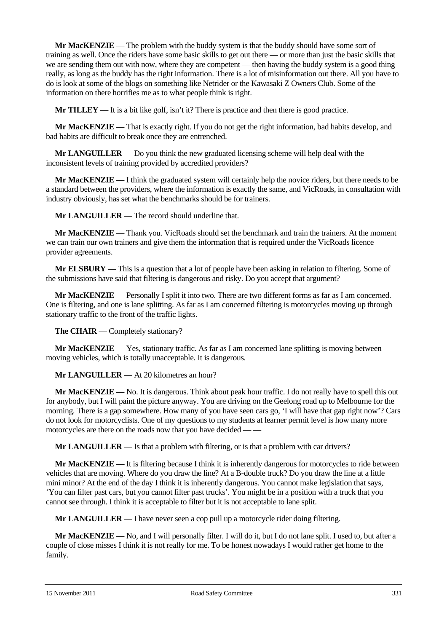**Mr MacKENZIE** — The problem with the buddy system is that the buddy should have some sort of training as well. Once the riders have some basic skills to get out there — or more than just the basic skills that we are sending them out with now, where they are competent — then having the buddy system is a good thing really, as long as the buddy has the right information. There is a lot of misinformation out there. All you have to do is look at some of the blogs on something like Netrider or the Kawasaki Z Owners Club. Some of the information on there horrifies me as to what people think is right.

**Mr TILLEY** — It is a bit like golf, isn't it? There is practice and then there is good practice.

**Mr MacKENZIE** — That is exactly right. If you do not get the right information, bad habits develop, and bad habits are difficult to break once they are entrenched.

**Mr LANGUILLER** — Do you think the new graduated licensing scheme will help deal with the inconsistent levels of training provided by accredited providers?

**Mr MacKENZIE** — I think the graduated system will certainly help the novice riders, but there needs to be a standard between the providers, where the information is exactly the same, and VicRoads, in consultation with industry obviously, has set what the benchmarks should be for trainers.

**Mr LANGUILLER** — The record should underline that.

**Mr MacKENZIE** — Thank you. VicRoads should set the benchmark and train the trainers. At the moment we can train our own trainers and give them the information that is required under the VicRoads licence provider agreements.

**Mr ELSBURY** — This is a question that a lot of people have been asking in relation to filtering. Some of the submissions have said that filtering is dangerous and risky. Do you accept that argument?

**Mr MacKENZIE** — Personally I split it into two. There are two different forms as far as I am concerned. One is filtering, and one is lane splitting. As far as I am concerned filtering is motorcycles moving up through stationary traffic to the front of the traffic lights.

**The CHAIR** — Completely stationary?

**Mr MacKENZIE** — Yes, stationary traffic. As far as I am concerned lane splitting is moving between moving vehicles, which is totally unacceptable. It is dangerous.

**Mr LANGUILLER** — At 20 kilometres an hour?

**Mr MacKENZIE** — No. It is dangerous. Think about peak hour traffic. I do not really have to spell this out for anybody, but I will paint the picture anyway. You are driving on the Geelong road up to Melbourne for the morning. There is a gap somewhere. How many of you have seen cars go, 'I will have that gap right now'? Cars do not look for motorcyclists. One of my questions to my students at learner permit level is how many more motorcycles are there on the roads now that you have decided — —

**Mr LANGUILLER** — Is that a problem with filtering, or is that a problem with car drivers?

**Mr MacKENZIE** — It is filtering because I think it is inherently dangerous for motorcycles to ride between vehicles that are moving. Where do you draw the line? At a B-double truck? Do you draw the line at a little mini minor? At the end of the day I think it is inherently dangerous. You cannot make legislation that says, 'You can filter past cars, but you cannot filter past trucks'. You might be in a position with a truck that you cannot see through. I think it is acceptable to filter but it is not acceptable to lane split.

**Mr LANGUILLER** — I have never seen a cop pull up a motorcycle rider doing filtering.

**Mr MacKENZIE** — No, and I will personally filter. I will do it, but I do not lane split. I used to, but after a couple of close misses I think it is not really for me. To be honest nowadays I would rather get home to the family.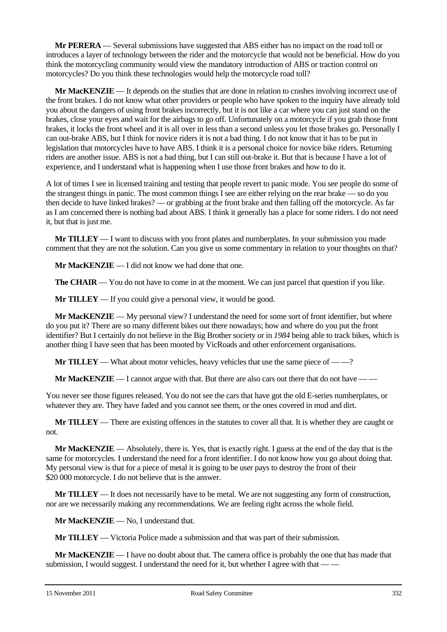**Mr PERERA** — Several submissions have suggested that ABS either has no impact on the road toll or introduces a layer of technology between the rider and the motorcycle that would not be beneficial. How do you think the motorcycling community would view the mandatory introduction of ABS or traction control on motorcycles? Do you think these technologies would help the motorcycle road toll?

**Mr MacKENZIE** — It depends on the studies that are done in relation to crashes involving incorrect use of the front brakes. I do not know what other providers or people who have spoken to the inquiry have already told you about the dangers of using front brakes incorrectly, but it is not like a car where you can just stand on the brakes, close your eyes and wait for the airbags to go off. Unfortunately on a motorcycle if you grab those front brakes, it locks the front wheel and it is all over in less than a second unless you let those brakes go. Personally I can out-brake ABS, but I think for novice riders it is not a bad thing. I do not know that it has to be put in legislation that motorcycles have to have ABS. I think it is a personal choice for novice bike riders. Returning riders are another issue. ABS is not a bad thing, but I can still out-brake it. But that is because I have a lot of experience, and I understand what is happening when I use those front brakes and how to do it.

A lot of times I see in licensed training and testing that people revert to panic mode. You see people do some of the strangest things in panic. The most common things I see are either relying on the rear brake — so do you then decide to have linked brakes? — or grabbing at the front brake and then falling off the motorcycle. As far as I am concerned there is nothing bad about ABS. I think it generally has a place for some riders. I do not need it, but that is just me.

**Mr TILLEY** — I want to discuss with you front plates and numberplates. In your submission you made comment that they are not the solution. Can you give us some commentary in relation to your thoughts on that?

**Mr MacKENZIE** — I did not know we had done that one.

**The CHAIR** — You do not have to come in at the moment. We can just parcel that question if you like.

**Mr TILLEY** — If you could give a personal view, it would be good.

**Mr MacKENZIE** — My personal view? I understand the need for some sort of front identifier, but where do you put it? There are so many different bikes out there nowadays; how and where do you put the front identifier? But I certainly do not believe in the Big Brother society or in *1984* being able to track bikes, which is another thing I have seen that has been mooted by VicRoads and other enforcement organisations.

**Mr TILLEY** — What about motor vehicles, heavy vehicles that use the same piece of — —?

**Mr MacKENZIE** — I cannot argue with that. But there are also cars out there that do not have — —

You never see those figures released. You do not see the cars that have got the old E-series numberplates, or whatever they are. They have faded and you cannot see them, or the ones covered in mud and dirt.

**Mr TILLEY** — There are existing offences in the statutes to cover all that. It is whether they are caught or not.

**Mr MacKENZIE** — Absolutely, there is. Yes, that is exactly right. I guess at the end of the day that is the same for motorcycles. I understand the need for a front identifier. I do not know how you go about doing that. My personal view is that for a piece of metal it is going to be user pays to destroy the front of their \$20 000 motorcycle. I do not believe that is the answer.

**Mr TILLEY** — It does not necessarily have to be metal. We are not suggesting any form of construction, nor are we necessarily making any recommendations. We are feeling right across the whole field.

**Mr MacKENZIE** — No, I understand that.

**Mr TILLEY** — Victoria Police made a submission and that was part of their submission.

**Mr MacKENZIE** — I have no doubt about that. The camera office is probably the one that has made that submission, I would suggest. I understand the need for it, but whether I agree with that —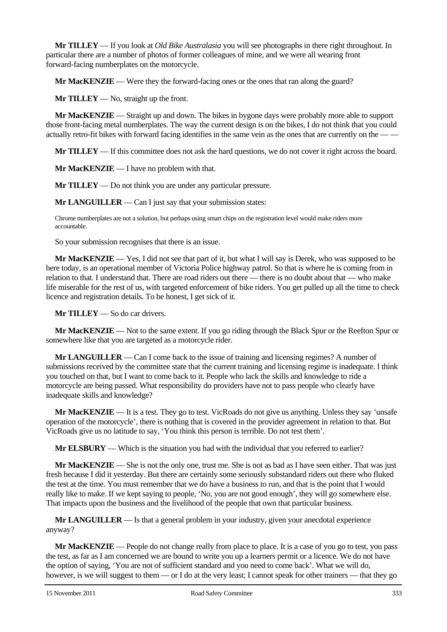**Mr TILLEY** — If you look at *Old Bike Australasia* you will see photographs in there right throughout. In particular there are a number of photos of former colleagues of mine, and we were all wearing front forward-facing numberplates on the motorcycle.

**Mr MacKENZIE** — Were they the forward-facing ones or the ones that ran along the guard?

**Mr TILLEY** — No, straight up the front.

**Mr MacKENZIE** — Straight up and down. The bikes in bygone days were probably more able to support those front-facing metal numberplates. The way the current design is on the bikes, I do not think that you could actually retro-fit bikes with forward facing identifies in the same vein as the ones that are currently on the — —

**Mr TILLEY** — If this committee does not ask the hard questions, we do not cover it right across the board.

**Mr MacKENZIE** — I have no problem with that.

**Mr TILLEY** — Do not think you are under any particular pressure.

**Mr LANGUILLER** — Can I just say that your submission states:

Chrome numberplates are not a solution, but perhaps using smart chips on the registration level would make riders more accountable.

So your submission recognises that there is an issue.

**Mr MacKENZIE** — Yes, I did not see that part of it, but what I will say is Derek, who was supposed to be here today, is an operational member of Victoria Police highway patrol. So that is where he is coming from in relation to that. I understand that. There are road riders out there — there is no doubt about that — who make life miserable for the rest of us, with targeted enforcement of bike riders. You get pulled up all the time to check licence and registration details. To be honest, I get sick of it.

**Mr TILLEY** — So do car drivers.

**Mr MacKENZIE** — Not to the same extent. If you go riding through the Black Spur or the Reefton Spur or somewhere like that you are targeted as a motorcycle rider.

**Mr LANGUILLER** — Can I come back to the issue of training and licensing regimes? A number of submissions received by the committee state that the current training and licensing regime is inadequate. I think you touched on that, but I want to come back to it. People who lack the skills and knowledge to ride a motorcycle are being passed. What responsibility do providers have not to pass people who clearly have inadequate skills and knowledge?

**Mr MacKENZIE** — It is a test. They go to test. VicRoads do not give us anything. Unless they say 'unsafe operation of the motorcycle', there is nothing that is covered in the provider agreement in relation to that. But VicRoads give us no latitude to say, 'You think this person is terrible. Do not test them'.

**Mr ELSBURY** — Which is the situation you had with the individual that you referred to earlier?

**Mr MacKENZIE** — She is not the only one, trust me. She is not as bad as I have seen either. That was just fresh because I did it yesterday. But there are certainly some seriously substandard riders out there who fluked the test at the time. You must remember that we do have a business to run, and that is the point that I would really like to make. If we kept saying to people, 'No, you are not good enough', they will go somewhere else. That impacts upon the business and the livelihood of the people that own that particular business.

**Mr LANGUILLER** — Is that a general problem in your industry, given your anecdotal experience anyway?

**Mr MacKENZIE** — People do not change really from place to place. It is a case of you go to test, you pass the test, as far as I am concerned we are bound to write you up a learners permit or a licence. We do not have the option of saying, 'You are not of sufficient standard and you need to come back'. What we will do, however, is we will suggest to them — or I do at the very least; I cannot speak for other trainers — that they go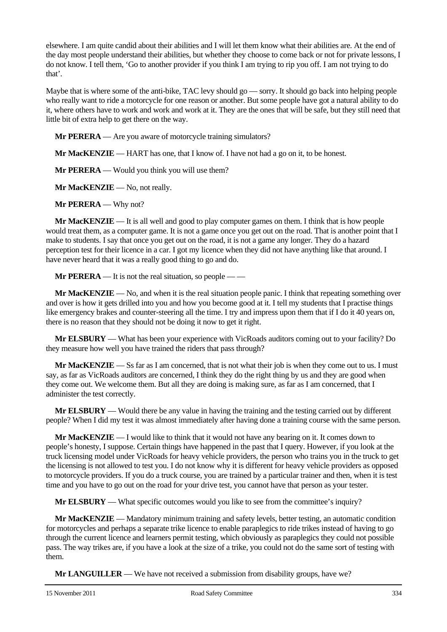elsewhere. I am quite candid about their abilities and I will let them know what their abilities are. At the end of the day most people understand their abilities, but whether they choose to come back or not for private lessons, I do not know. I tell them, 'Go to another provider if you think I am trying to rip you off. I am not trying to do that'.

Maybe that is where some of the anti-bike, TAC levy should go — sorry. It should go back into helping people who really want to ride a motorcycle for one reason or another. But some people have got a natural ability to do it, where others have to work and work and work at it. They are the ones that will be safe, but they still need that little bit of extra help to get there on the way.

**Mr PERERA** — Are you aware of motorcycle training simulators?

**Mr MacKENZIE** — HART has one, that I know of. I have not had a go on it, to be honest.

**Mr PERERA** — Would you think you will use them?

**Mr MacKENZIE** — No, not really.

**Mr PERERA** — Why not?

**Mr MacKENZIE** — It is all well and good to play computer games on them. I think that is how people would treat them, as a computer game. It is not a game once you get out on the road. That is another point that I make to students. I say that once you get out on the road, it is not a game any longer. They do a hazard perception test for their licence in a car. I got my licence when they did not have anything like that around. I have never heard that it was a really good thing to go and do.

**Mr PERERA** — It is not the real situation, so people — —

**Mr MacKENZIE** — No, and when it is the real situation people panic. I think that repeating something over and over is how it gets drilled into you and how you become good at it. I tell my students that I practise things like emergency brakes and counter-steering all the time. I try and impress upon them that if I do it 40 years on, there is no reason that they should not be doing it now to get it right.

**Mr ELSBURY** — What has been your experience with VicRoads auditors coming out to your facility? Do they measure how well you have trained the riders that pass through?

**Mr MacKENZIE** — Ss far as I am concerned, that is not what their job is when they come out to us. I must say, as far as VicRoads auditors are concerned, I think they do the right thing by us and they are good when they come out. We welcome them. But all they are doing is making sure, as far as I am concerned, that I administer the test correctly.

**Mr ELSBURY** — Would there be any value in having the training and the testing carried out by different people? When I did my test it was almost immediately after having done a training course with the same person.

**Mr MacKENZIE** — I would like to think that it would not have any bearing on it. It comes down to people's honesty, I suppose. Certain things have happened in the past that I query. However, if you look at the truck licensing model under VicRoads for heavy vehicle providers, the person who trains you in the truck to get the licensing is not allowed to test you. I do not know why it is different for heavy vehicle providers as opposed to motorcycle providers. If you do a truck course, you are trained by a particular trainer and then, when it is test time and you have to go out on the road for your drive test, you cannot have that person as your tester.

**Mr ELSBURY** — What specific outcomes would you like to see from the committee's inquiry?

**Mr MacKENZIE** — Mandatory minimum training and safety levels, better testing, an automatic condition for motorcycles and perhaps a separate trike licence to enable paraplegics to ride trikes instead of having to go through the current licence and learners permit testing, which obviously as paraplegics they could not possible pass. The way trikes are, if you have a look at the size of a trike, you could not do the same sort of testing with them.

**Mr LANGUILLER** — We have not received a submission from disability groups, have we?